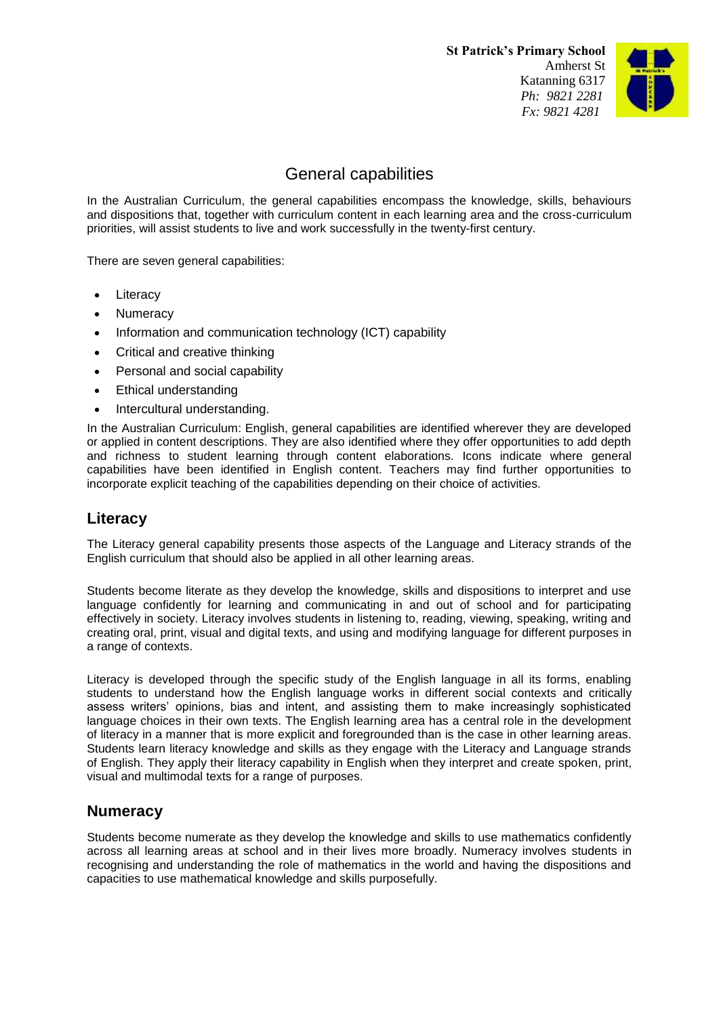**St Patrick's Primary School** Amherst St Katanning 6317 *Ph: 9821 2281 Fx: 9821 4281*



# General capabilities

In the Australian Curriculum, the general capabilities encompass the knowledge, skills, behaviours and dispositions that, together with curriculum content in each learning area and the cross-curriculum priorities, will assist students to live and work successfully in the twenty-first century.

There are seven general capabilities:

- **Literacy**
- Numeracy
- Information and communication technology (ICT) capability
- Critical and creative thinking
- Personal and social capability
- Ethical understanding
- Intercultural understanding.

In the Australian Curriculum: English, general capabilities are identified wherever they are developed or applied in content descriptions. They are also identified where they offer opportunities to add depth and richness to student learning through content elaborations. Icons indicate where general capabilities have been identified in English content. Teachers may find further opportunities to incorporate explicit teaching of the capabilities depending on their choice of activities.

### **Literacy**

The Literacy general capability presents those aspects of the Language and Literacy strands of the English curriculum that should also be applied in all other learning areas.

Students become literate as they develop the knowledge, skills and dispositions to interpret and use language confidently for learning and communicating in and out of school and for participating effectively in society. Literacy involves students in listening to, reading, viewing, speaking, writing and creating oral, print, visual and digital texts, and using and modifying language for different purposes in a range of contexts.

Literacy is developed through the specific study of the English language in all its forms, enabling students to understand how the English language works in different social contexts and critically assess writers' opinions, bias and intent, and assisting them to make increasingly sophisticated language choices in their own texts. The English learning area has a central role in the development of literacy in a manner that is more explicit and foregrounded than is the case in other learning areas. Students learn literacy knowledge and skills as they engage with the Literacy and Language strands of English. They apply their literacy capability in English when they interpret and create spoken, print, visual and multimodal texts for a range of purposes.

#### **Numeracy**

Students become numerate as they develop the knowledge and skills to use mathematics confidently across all learning areas at school and in their lives more broadly. Numeracy involves students in recognising and understanding the role of mathematics in the world and having the dispositions and capacities to use mathematical knowledge and skills purposefully.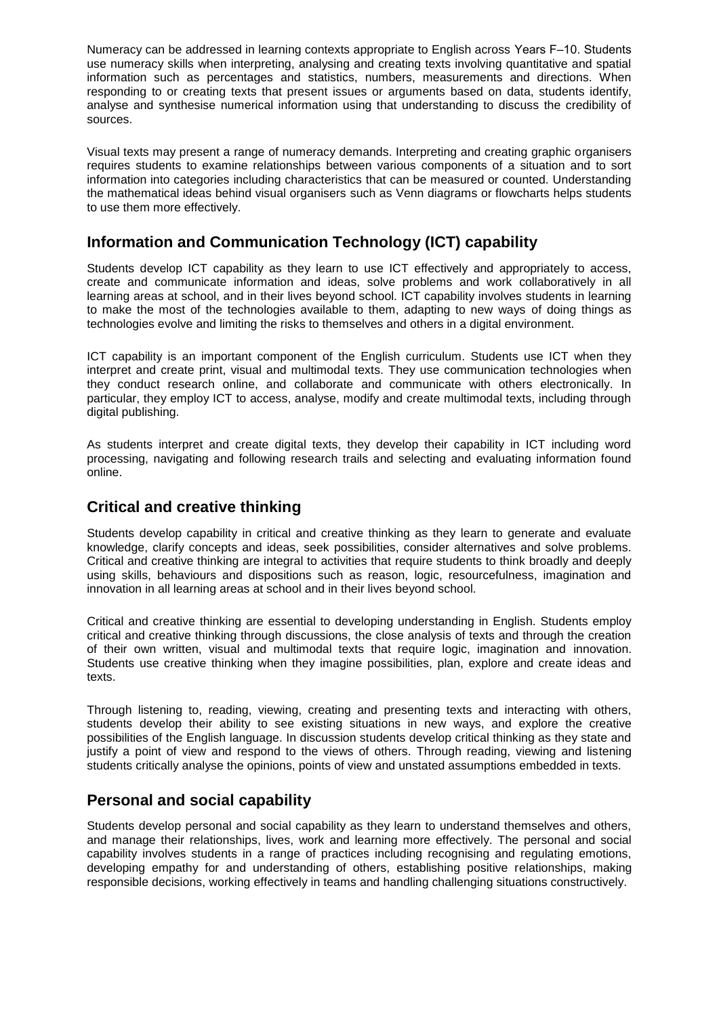Numeracy can be addressed in learning contexts appropriate to English across Years F-10. Students use numeracy skills when interpreting, analysing and creating texts involving quantitative and spatial information such as percentages and statistics, numbers, measurements and directions. When responding to or creating texts that present issues or arguments based on data, students identify, analyse and synthesise numerical information using that understanding to discuss the credibility of sources.

Visual texts may present a range of numeracy demands. Interpreting and creating graphic organisers requires students to examine relationships between various components of a situation and to sort information into categories including characteristics that can be measured or counted. Understanding the mathematical ideas behind visual organisers such as Venn diagrams or flowcharts helps students to use them more effectively.

### **Information and Communication Technology (ICT) capability**

Students develop ICT capability as they learn to use ICT effectively and appropriately to access, create and communicate information and ideas, solve problems and work collaboratively in all learning areas at school, and in their lives beyond school. ICT capability involves students in learning to make the most of the technologies available to them, adapting to new ways of doing things as technologies evolve and limiting the risks to themselves and others in a digital environment.

ICT capability is an important component of the English curriculum. Students use ICT when they interpret and create print, visual and multimodal texts. They use communication technologies when they conduct research online, and collaborate and communicate with others electronically. In particular, they employ ICT to access, analyse, modify and create multimodal texts, including through digital publishing.

As students interpret and create digital texts, they develop their capability in ICT including word processing, navigating and following research trails and selecting and evaluating information found online.

## **Critical and creative thinking**

Students develop capability in critical and creative thinking as they learn to generate and evaluate knowledge, clarify concepts and ideas, seek possibilities, consider alternatives and solve problems. Critical and creative thinking are integral to activities that require students to think broadly and deeply using skills, behaviours and dispositions such as reason, logic, resourcefulness, imagination and innovation in all learning areas at school and in their lives beyond school.

Critical and creative thinking are essential to developing understanding in English. Students employ critical and creative thinking through discussions, the close analysis of texts and through the creation of their own written, visual and multimodal texts that require logic, imagination and innovation. Students use creative thinking when they imagine possibilities, plan, explore and create ideas and texts.

Through listening to, reading, viewing, creating and presenting texts and interacting with others, students develop their ability to see existing situations in new ways, and explore the creative possibilities of the English language. In discussion students develop critical thinking as they state and justify a point of view and respond to the views of others. Through reading, viewing and listening students critically analyse the opinions, points of view and unstated assumptions embedded in texts.

# **Personal and social capability**

Students develop personal and social capability as they learn to understand themselves and others, and manage their relationships, lives, work and learning more effectively. The personal and social capability involves students in a range of practices including recognising and regulating emotions, developing empathy for and understanding of others, establishing positive relationships, making responsible decisions, working effectively in teams and handling challenging situations constructively.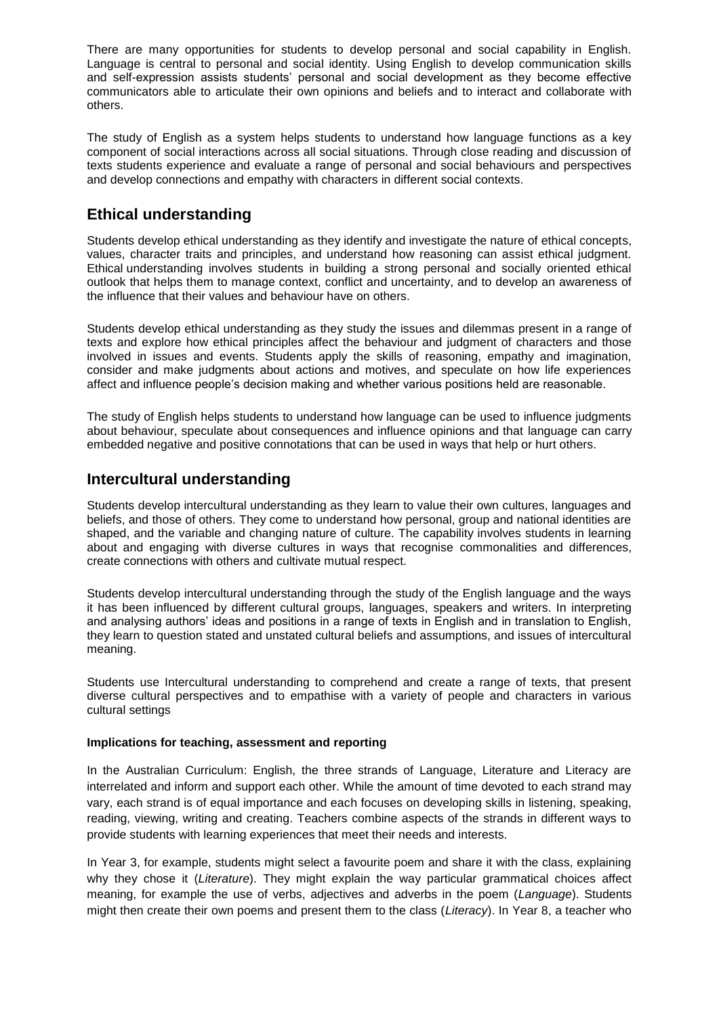There are many opportunities for students to develop personal and social capability in English. Language is central to personal and social identity. Using English to develop communication skills and self-expression assists students' personal and social development as they become effective communicators able to articulate their own opinions and beliefs and to interact and collaborate with others.

The study of English as a system helps students to understand how language functions as a key component of social interactions across all social situations. Through close reading and discussion of texts students experience and evaluate a range of personal and social behaviours and perspectives and develop connections and empathy with characters in different social contexts.

### **Ethical understanding**

Students develop ethical understanding as they identify and investigate the nature of ethical concepts, values, character traits and principles, and understand how reasoning can assist ethical judgment. Ethical understanding involves students in building a strong personal and socially oriented ethical outlook that helps them to manage context, conflict and uncertainty, and to develop an awareness of the influence that their values and behaviour have on others.

Students develop ethical understanding as they study the issues and dilemmas present in a range of texts and explore how ethical principles affect the behaviour and judgment of characters and those involved in issues and events. Students apply the skills of reasoning, empathy and imagination, consider and make judgments about actions and motives, and speculate on how life experiences affect and influence people's decision making and whether various positions held are reasonable.

The study of English helps students to understand how language can be used to influence judgments about behaviour, speculate about consequences and influence opinions and that language can carry embedded negative and positive connotations that can be used in ways that help or hurt others.

#### **Intercultural understanding**

Students develop intercultural understanding as they learn to value their own cultures, languages and beliefs, and those of others. They come to understand how personal, group and national identities are shaped, and the variable and changing nature of culture. The capability involves students in learning about and engaging with diverse cultures in ways that recognise commonalities and differences, create connections with others and cultivate mutual respect.

Students develop intercultural understanding through the study of the English language and the ways it has been influenced by different cultural groups, languages, speakers and writers. In interpreting and analysing authors' ideas and positions in a range of texts in English and in translation to English, they learn to question stated and unstated cultural beliefs and assumptions, and issues of intercultural meaning.

Students use Intercultural understanding to comprehend and create a range of texts, that present diverse cultural perspectives and to empathise with a variety of people and characters in various cultural settings

#### **Implications for teaching, assessment and reporting**

In the Australian Curriculum: English, the three strands of Language, Literature and Literacy are interrelated and inform and support each other. While the amount of time devoted to each strand may vary, each strand is of equal importance and each focuses on developing skills in listening, speaking, reading, viewing, writing and creating. Teachers combine aspects of the strands in different ways to provide students with learning experiences that meet their needs and interests.

In Year 3, for example, students might select a favourite poem and share it with the class, explaining why they chose it (*Literature*). They might explain the way particular grammatical choices affect meaning, for example the use of verbs, adjectives and adverbs in the poem (*Language*). Students might then create their own poems and present them to the class (*Literacy*). In Year 8, a teacher who